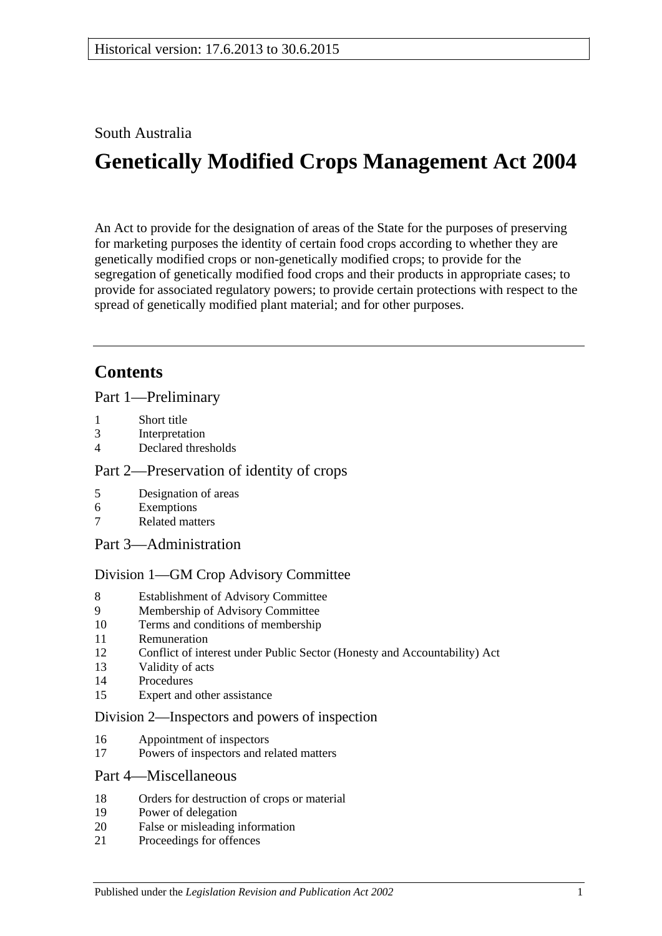#### South Australia

# **Genetically Modified Crops Management Act 2004**

An Act to provide for the designation of areas of the State for the purposes of preserving for marketing purposes the identity of certain food crops according to whether they are genetically modified crops or non-genetically modified crops; to provide for the segregation of genetically modified food crops and their products in appropriate cases; to provide for associated regulatory powers; to provide certain protections with respect to the spread of genetically modified plant material; and for other purposes.

### **Contents**

[Part 1—Preliminary](#page-1-0)

- 1 [Short title](#page-1-1)
- 3 [Interpretation](#page-1-2)
- 4 [Declared thresholds](#page-3-0)

#### [Part 2—Preservation of identity of crops](#page-3-1)

- 5 [Designation of areas](#page-3-2)
- 6 [Exemptions](#page-5-0)
- 7 [Related matters](#page-6-0)
- [Part 3—Administration](#page-6-1)

#### [Division 1—GM Crop Advisory Committee](#page-6-2)

- 8 [Establishment of Advisory Committee](#page-6-3)
- 9 [Membership of Advisory Committee](#page-6-4)
- 10 [Terms and conditions of membership](#page-7-0)
- 11 [Remuneration](#page-7-1)
- 12 [Conflict of interest under Public Sector \(Honesty and Accountability\) Act](#page-7-2)
- 13 [Validity of acts](#page-8-0)
- 14 [Procedures](#page-8-1)
- 15 [Expert and other assistance](#page-8-2)

#### [Division 2—Inspectors and powers of inspection](#page-9-0)

- 16 [Appointment of inspectors](#page-9-1)
- 17 [Powers of inspectors and related matters](#page-9-2)

#### [Part 4—Miscellaneous](#page-9-3)

- 18 [Orders for destruction of crops or material](#page-9-4)
- 19 [Power of delegation](#page-10-0)
- 20 [False or misleading information](#page-10-1)
- 21 [Proceedings for offences](#page-10-2)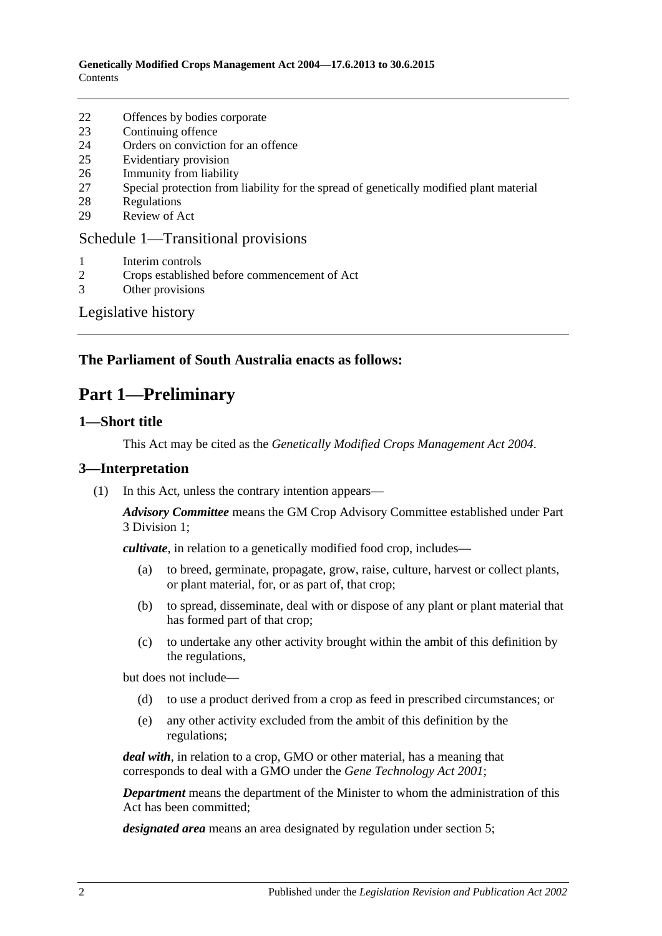- 22 [Offences by bodies corporate](#page-11-0)
- 23 [Continuing offence](#page-11-1)
- 24 [Orders on conviction for an offence](#page-11-2)
- 25 [Evidentiary provision](#page-12-0)
- 26 [Immunity from liability](#page-12-1)
- 27 [Special protection from liability for the spread of genetically modified plant material](#page-13-0)
- 28 [Regulations](#page-13-1)
- 29 [Review of Act](#page-14-0)

#### [Schedule 1—Transitional provisions](#page-14-1)

- 1 [Interim controls](#page-14-2)
- 2 [Crops established before commencement of Act](#page-15-0)
- 3 [Other provisions](#page-15-1)

#### [Legislative history](#page-16-0)

#### <span id="page-1-0"></span>**The Parliament of South Australia enacts as follows:**

### **Part 1—Preliminary**

#### <span id="page-1-1"></span>**1—Short title**

This Act may be cited as the *Genetically Modified Crops Management Act 2004*.

#### <span id="page-1-2"></span>**3—Interpretation**

(1) In this Act, unless the contrary intention appears—

*Advisory Committee* means the GM Crop Advisory Committee established under [Part](#page-6-2)  [3 Division 1;](#page-6-2)

*cultivate*, in relation to a genetically modified food crop, includes—

- (a) to breed, germinate, propagate, grow, raise, culture, harvest or collect plants, or plant material, for, or as part of, that crop;
- (b) to spread, disseminate, deal with or dispose of any plant or plant material that has formed part of that crop;
- (c) to undertake any other activity brought within the ambit of this definition by the regulations,

but does not include—

- (d) to use a product derived from a crop as feed in prescribed circumstances; or
- (e) any other activity excluded from the ambit of this definition by the regulations;

*deal with*, in relation to a crop, GMO or other material, has a meaning that corresponds to deal with a GMO under the *[Gene Technology Act](http://www.legislation.sa.gov.au/index.aspx?action=legref&type=act&legtitle=Gene%20Technology%20Act%202001) 2001*;

*Department* means the department of the Minister to whom the administration of this Act has been committed;

*designated area* means an area designated by regulation under [section](#page-3-2) 5;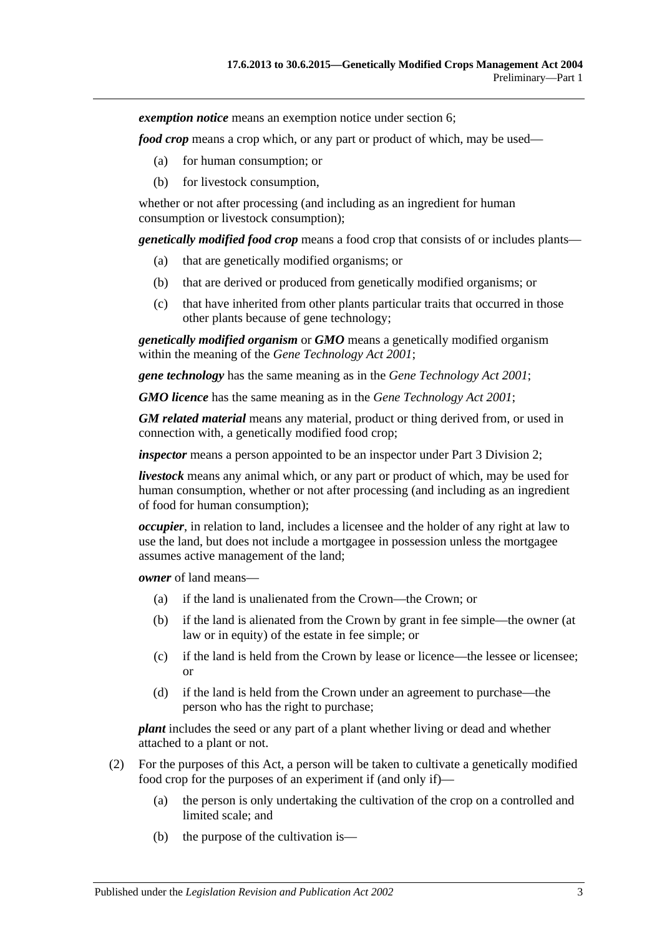*exemption notice* means an exemption notice under [section](#page-5-0) 6;

*food crop* means a crop which, or any part or product of which, may be used—

- (a) for human consumption; or
- (b) for livestock consumption,

whether or not after processing (and including as an ingredient for human consumption or livestock consumption);

*genetically modified food crop* means a food crop that consists of or includes plants—

- (a) that are genetically modified organisms; or
- (b) that are derived or produced from genetically modified organisms; or
- (c) that have inherited from other plants particular traits that occurred in those other plants because of gene technology;

*genetically modified organism* or *GMO* means a genetically modified organism within the meaning of the *[Gene Technology Act](http://www.legislation.sa.gov.au/index.aspx?action=legref&type=act&legtitle=Gene%20Technology%20Act%202001) 2001*;

*gene technology* has the same meaning as in the *[Gene Technology Act](http://www.legislation.sa.gov.au/index.aspx?action=legref&type=act&legtitle=Gene%20Technology%20Act%202001) 2001*;

*GMO licence* has the same meaning as in the *[Gene Technology Act](http://www.legislation.sa.gov.au/index.aspx?action=legref&type=act&legtitle=Gene%20Technology%20Act%202001) 2001*;

*GM related material* means any material, product or thing derived from, or used in connection with, a genetically modified food crop;

*inspector* means a person appointed to be an inspector under [Part 3 Division 2;](#page-9-0)

*livestock* means any animal which, or any part or product of which, may be used for human consumption, whether or not after processing (and including as an ingredient of food for human consumption);

*occupier*, in relation to land, includes a licensee and the holder of any right at law to use the land, but does not include a mortgagee in possession unless the mortgagee assumes active management of the land;

*owner* of land means—

- (a) if the land is unalienated from the Crown—the Crown; or
- (b) if the land is alienated from the Crown by grant in fee simple—the owner (at law or in equity) of the estate in fee simple; or
- (c) if the land is held from the Crown by lease or licence—the lessee or licensee; or
- (d) if the land is held from the Crown under an agreement to purchase—the person who has the right to purchase;

*plant* includes the seed or any part of a plant whether living or dead and whether attached to a plant or not.

- (2) For the purposes of this Act, a person will be taken to cultivate a genetically modified food crop for the purposes of an experiment if (and only if)—
	- (a) the person is only undertaking the cultivation of the crop on a controlled and limited scale; and
	- (b) the purpose of the cultivation is—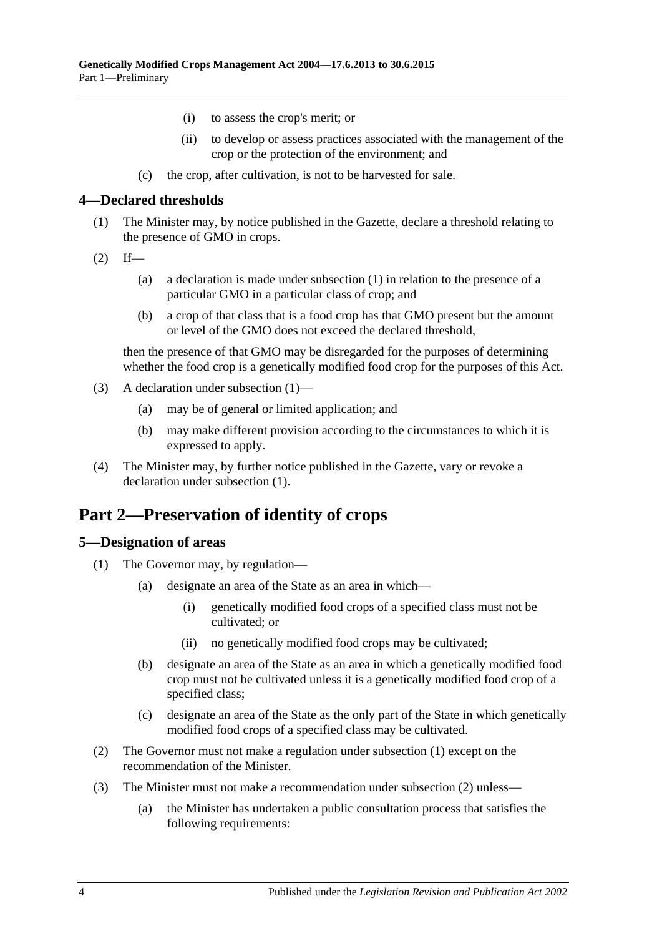- (i) to assess the crop's merit; or
- (ii) to develop or assess practices associated with the management of the crop or the protection of the environment; and
- (c) the crop, after cultivation, is not to be harvested for sale.

#### <span id="page-3-3"></span><span id="page-3-0"></span>**4—Declared thresholds**

- (1) The Minister may, by notice published in the Gazette, declare a threshold relating to the presence of GMO in crops.
- $(2)$  If—
	- (a) a declaration is made under subsection (1) in relation to the presence of a particular GMO in a particular class of crop; and
	- (b) a crop of that class that is a food crop has that GMO present but the amount or level of the GMO does not exceed the declared threshold,

then the presence of that GMO may be disregarded for the purposes of determining whether the food crop is a genetically modified food crop for the purposes of this Act.

- (3) A declaration under [subsection](#page-3-3) (1)—
	- (a) may be of general or limited application; and
	- (b) may make different provision according to the circumstances to which it is expressed to apply.
- (4) The Minister may, by further notice published in the Gazette, vary or revoke a declaration under [subsection](#page-3-3) (1).

### <span id="page-3-1"></span>**Part 2—Preservation of identity of crops**

#### <span id="page-3-4"></span><span id="page-3-2"></span>**5—Designation of areas**

- <span id="page-3-6"></span>(1) The Governor may, by regulation—
	- (a) designate an area of the State as an area in which—
		- (i) genetically modified food crops of a specified class must not be cultivated; or
		- (ii) no genetically modified food crops may be cultivated;
	- (b) designate an area of the State as an area in which a genetically modified food crop must not be cultivated unless it is a genetically modified food crop of a specified class;
	- (c) designate an area of the State as the only part of the State in which genetically modified food crops of a specified class may be cultivated.
- <span id="page-3-7"></span><span id="page-3-5"></span>(2) The Governor must not make a regulation under [subsection](#page-3-4) (1) except on the recommendation of the Minister.
- <span id="page-3-8"></span>(3) The Minister must not make a recommendation under [subsection](#page-3-5) (2) unless—
	- (a) the Minister has undertaken a public consultation process that satisfies the following requirements: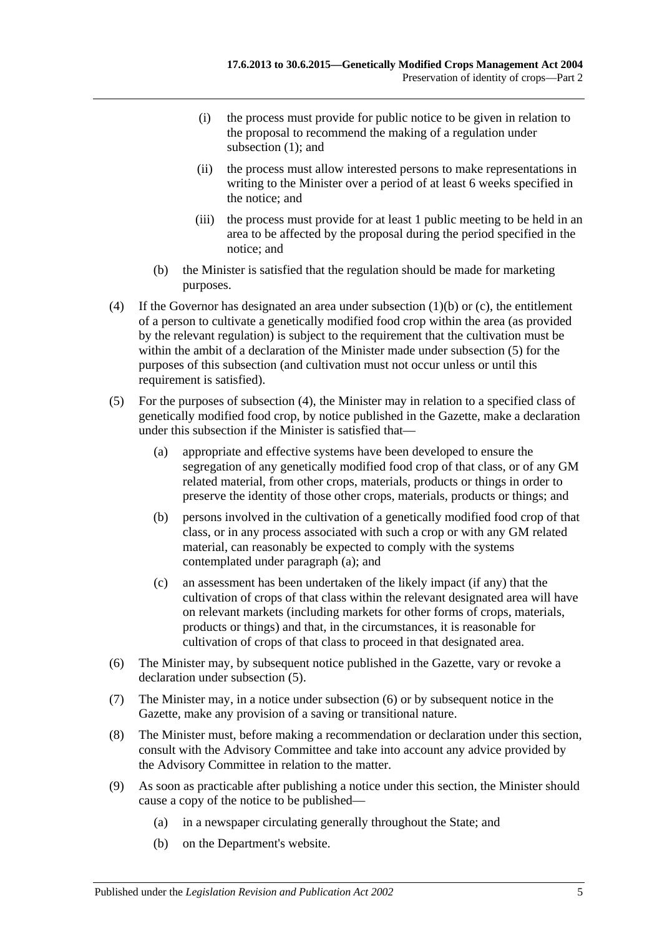- (i) the process must provide for public notice to be given in relation to the proposal to recommend the making of a regulation under [subsection](#page-3-4) (1); and
- (ii) the process must allow interested persons to make representations in writing to the Minister over a period of at least 6 weeks specified in the notice; and
- (iii) the process must provide for at least 1 public meeting to be held in an area to be affected by the proposal during the period specified in the notice; and
- (b) the Minister is satisfied that the regulation should be made for marketing purposes.
- <span id="page-4-1"></span>(4) If the Governor has designated an area under [subsection](#page-3-6) (1)(b) or [\(c\),](#page-3-7) the entitlement of a person to cultivate a genetically modified food crop within the area (as provided by the relevant regulation) is subject to the requirement that the cultivation must be within the ambit of a declaration of the Minister made under [subsection](#page-4-0) (5) for the purposes of this subsection (and cultivation must not occur unless or until this requirement is satisfied).
- <span id="page-4-2"></span><span id="page-4-0"></span>(5) For the purposes of [subsection](#page-4-1) (4), the Minister may in relation to a specified class of genetically modified food crop, by notice published in the Gazette, make a declaration under this subsection if the Minister is satisfied that—
	- (a) appropriate and effective systems have been developed to ensure the segregation of any genetically modified food crop of that class, or of any GM related material, from other crops, materials, products or things in order to preserve the identity of those other crops, materials, products or things; and
	- (b) persons involved in the cultivation of a genetically modified food crop of that class, or in any process associated with such a crop or with any GM related material, can reasonably be expected to comply with the systems contemplated under [paragraph](#page-4-2) (a); and
	- (c) an assessment has been undertaken of the likely impact (if any) that the cultivation of crops of that class within the relevant designated area will have on relevant markets (including markets for other forms of crops, materials, products or things) and that, in the circumstances, it is reasonable for cultivation of crops of that class to proceed in that designated area.
- <span id="page-4-3"></span>(6) The Minister may, by subsequent notice published in the Gazette, vary or revoke a declaration under [subsection](#page-4-0) (5).
- (7) The Minister may, in a notice under [subsection](#page-4-3) (6) or by subsequent notice in the Gazette, make any provision of a saving or transitional nature.
- (8) The Minister must, before making a recommendation or declaration under this section, consult with the Advisory Committee and take into account any advice provided by the Advisory Committee in relation to the matter.
- (9) As soon as practicable after publishing a notice under this section, the Minister should cause a copy of the notice to be published—
	- (a) in a newspaper circulating generally throughout the State; and
	- (b) on the Department's website.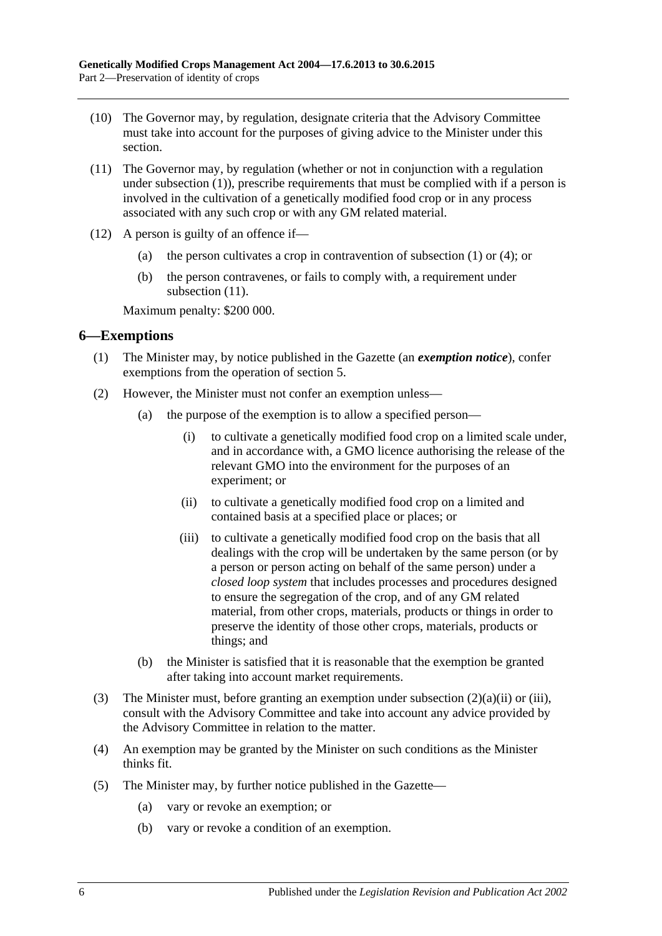- (10) The Governor may, by regulation, designate criteria that the Advisory Committee must take into account for the purposes of giving advice to the Minister under this section.
- <span id="page-5-1"></span>(11) The Governor may, by regulation (whether or not in conjunction with a regulation under [subsection](#page-3-4) (1)), prescribe requirements that must be complied with if a person is involved in the cultivation of a genetically modified food crop or in any process associated with any such crop or with any GM related material.
- (12) A person is guilty of an offence if—
	- (a) the person cultivates a crop in contravention of [subsection](#page-3-4) (1) or [\(4\);](#page-4-1) or
	- (b) the person contravenes, or fails to comply with, a requirement under [subsection](#page-5-1)  $(11)$ .

Maximum penalty: \$200 000.

#### <span id="page-5-0"></span>**6—Exemptions**

- (1) The Minister may, by notice published in the Gazette (an *exemption notice*), confer exemptions from the operation of [section](#page-3-2) 5.
- <span id="page-5-3"></span><span id="page-5-2"></span>(2) However, the Minister must not confer an exemption unless—
	- (a) the purpose of the exemption is to allow a specified person—
		- (i) to cultivate a genetically modified food crop on a limited scale under, and in accordance with, a GMO licence authorising the release of the relevant GMO into the environment for the purposes of an experiment; or
		- (ii) to cultivate a genetically modified food crop on a limited and contained basis at a specified place or places; or
		- (iii) to cultivate a genetically modified food crop on the basis that all dealings with the crop will be undertaken by the same person (or by a person or person acting on behalf of the same person) under a *closed loop system* that includes processes and procedures designed to ensure the segregation of the crop, and of any GM related material, from other crops, materials, products or things in order to preserve the identity of those other crops, materials, products or things; and
	- (b) the Minister is satisfied that it is reasonable that the exemption be granted after taking into account market requirements.
- (3) The Minister must, before granting an exemption under [subsection](#page-5-2) (2)(a)(ii) or [\(iii\),](#page-5-3) consult with the Advisory Committee and take into account any advice provided by the Advisory Committee in relation to the matter.
- (4) An exemption may be granted by the Minister on such conditions as the Minister thinks fit.
- (5) The Minister may, by further notice published in the Gazette—
	- (a) vary or revoke an exemption; or
	- (b) vary or revoke a condition of an exemption.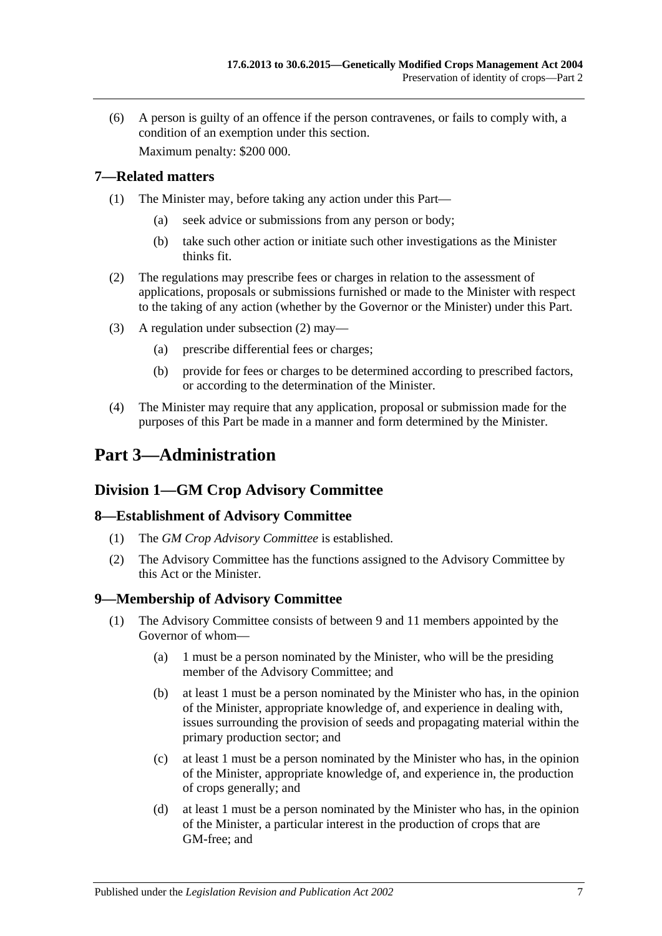(6) A person is guilty of an offence if the person contravenes, or fails to comply with, a condition of an exemption under this section.

Maximum penalty: \$200 000.

#### <span id="page-6-0"></span>**7—Related matters**

- (1) The Minister may, before taking any action under this Part—
	- (a) seek advice or submissions from any person or body;
	- (b) take such other action or initiate such other investigations as the Minister thinks fit.
- <span id="page-6-5"></span>(2) The regulations may prescribe fees or charges in relation to the assessment of applications, proposals or submissions furnished or made to the Minister with respect to the taking of any action (whether by the Governor or the Minister) under this Part.
- (3) A regulation under [subsection](#page-6-5) (2) may—
	- (a) prescribe differential fees or charges;
	- (b) provide for fees or charges to be determined according to prescribed factors, or according to the determination of the Minister.
- (4) The Minister may require that any application, proposal or submission made for the purposes of this Part be made in a manner and form determined by the Minister.

# <span id="page-6-1"></span>**Part 3—Administration**

### <span id="page-6-2"></span>**Division 1—GM Crop Advisory Committee**

#### <span id="page-6-3"></span>**8—Establishment of Advisory Committee**

- (1) The *GM Crop Advisory Committee* is established.
- (2) The Advisory Committee has the functions assigned to the Advisory Committee by this Act or the Minister.

#### <span id="page-6-4"></span>**9—Membership of Advisory Committee**

- (1) The Advisory Committee consists of between 9 and 11 members appointed by the Governor of whom—
	- (a) 1 must be a person nominated by the Minister, who will be the presiding member of the Advisory Committee; and
	- (b) at least 1 must be a person nominated by the Minister who has, in the opinion of the Minister, appropriate knowledge of, and experience in dealing with, issues surrounding the provision of seeds and propagating material within the primary production sector; and
	- (c) at least 1 must be a person nominated by the Minister who has, in the opinion of the Minister, appropriate knowledge of, and experience in, the production of crops generally; and
	- (d) at least 1 must be a person nominated by the Minister who has, in the opinion of the Minister, a particular interest in the production of crops that are GM-free; and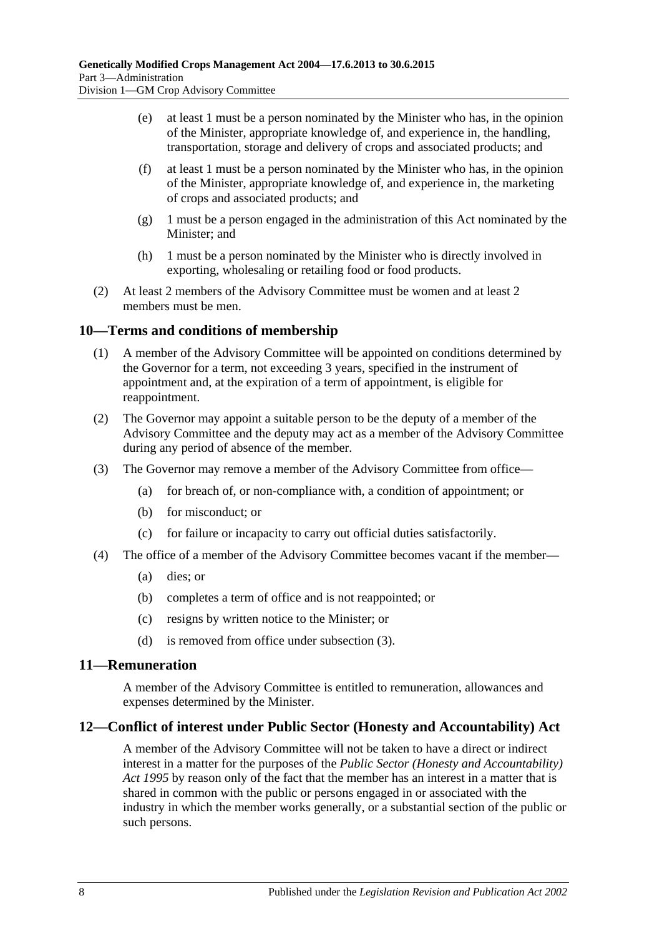- (e) at least 1 must be a person nominated by the Minister who has, in the opinion of the Minister, appropriate knowledge of, and experience in, the handling, transportation, storage and delivery of crops and associated products; and
- (f) at least 1 must be a person nominated by the Minister who has, in the opinion of the Minister, appropriate knowledge of, and experience in, the marketing of crops and associated products; and
- (g) 1 must be a person engaged in the administration of this Act nominated by the Minister; and
- (h) 1 must be a person nominated by the Minister who is directly involved in exporting, wholesaling or retailing food or food products.
- (2) At least 2 members of the Advisory Committee must be women and at least 2 members must be men.

#### <span id="page-7-0"></span>**10—Terms and conditions of membership**

- (1) A member of the Advisory Committee will be appointed on conditions determined by the Governor for a term, not exceeding 3 years, specified in the instrument of appointment and, at the expiration of a term of appointment, is eligible for reappointment.
- (2) The Governor may appoint a suitable person to be the deputy of a member of the Advisory Committee and the deputy may act as a member of the Advisory Committee during any period of absence of the member.
- <span id="page-7-3"></span>(3) The Governor may remove a member of the Advisory Committee from office—
	- (a) for breach of, or non-compliance with, a condition of appointment; or
	- (b) for misconduct; or
	- (c) for failure or incapacity to carry out official duties satisfactorily.
- (4) The office of a member of the Advisory Committee becomes vacant if the member—
	- (a) dies; or
	- (b) completes a term of office and is not reappointed; or
	- (c) resigns by written notice to the Minister; or
	- (d) is removed from office under [subsection](#page-7-3) (3).

#### <span id="page-7-1"></span>**11—Remuneration**

A member of the Advisory Committee is entitled to remuneration, allowances and expenses determined by the Minister.

#### <span id="page-7-2"></span>**12—Conflict of interest under Public Sector (Honesty and Accountability) Act**

A member of the Advisory Committee will not be taken to have a direct or indirect interest in a matter for the purposes of the *[Public Sector \(Honesty and Accountability\)](http://www.legislation.sa.gov.au/index.aspx?action=legref&type=act&legtitle=Public%20Sector%20(Honesty%20and%20Accountability)%20Act%201995)  Act [1995](http://www.legislation.sa.gov.au/index.aspx?action=legref&type=act&legtitle=Public%20Sector%20(Honesty%20and%20Accountability)%20Act%201995)* by reason only of the fact that the member has an interest in a matter that is shared in common with the public or persons engaged in or associated with the industry in which the member works generally, or a substantial section of the public or such persons.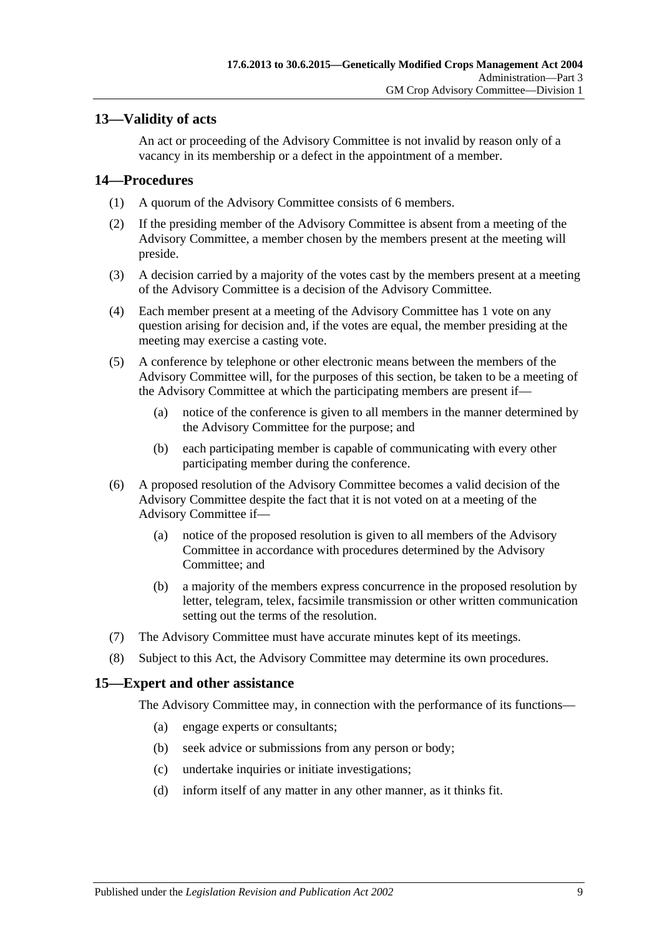#### <span id="page-8-0"></span>**13—Validity of acts**

An act or proceeding of the Advisory Committee is not invalid by reason only of a vacancy in its membership or a defect in the appointment of a member.

#### <span id="page-8-1"></span>**14—Procedures**

- (1) A quorum of the Advisory Committee consists of 6 members.
- (2) If the presiding member of the Advisory Committee is absent from a meeting of the Advisory Committee, a member chosen by the members present at the meeting will preside.
- (3) A decision carried by a majority of the votes cast by the members present at a meeting of the Advisory Committee is a decision of the Advisory Committee.
- (4) Each member present at a meeting of the Advisory Committee has 1 vote on any question arising for decision and, if the votes are equal, the member presiding at the meeting may exercise a casting vote.
- (5) A conference by telephone or other electronic means between the members of the Advisory Committee will, for the purposes of this section, be taken to be a meeting of the Advisory Committee at which the participating members are present if—
	- (a) notice of the conference is given to all members in the manner determined by the Advisory Committee for the purpose; and
	- (b) each participating member is capable of communicating with every other participating member during the conference.
- (6) A proposed resolution of the Advisory Committee becomes a valid decision of the Advisory Committee despite the fact that it is not voted on at a meeting of the Advisory Committee if—
	- (a) notice of the proposed resolution is given to all members of the Advisory Committee in accordance with procedures determined by the Advisory Committee; and
	- (b) a majority of the members express concurrence in the proposed resolution by letter, telegram, telex, facsimile transmission or other written communication setting out the terms of the resolution.
- (7) The Advisory Committee must have accurate minutes kept of its meetings.
- (8) Subject to this Act, the Advisory Committee may determine its own procedures.

#### <span id="page-8-2"></span>**15—Expert and other assistance**

The Advisory Committee may, in connection with the performance of its functions—

- (a) engage experts or consultants;
- (b) seek advice or submissions from any person or body;
- (c) undertake inquiries or initiate investigations;
- (d) inform itself of any matter in any other manner, as it thinks fit.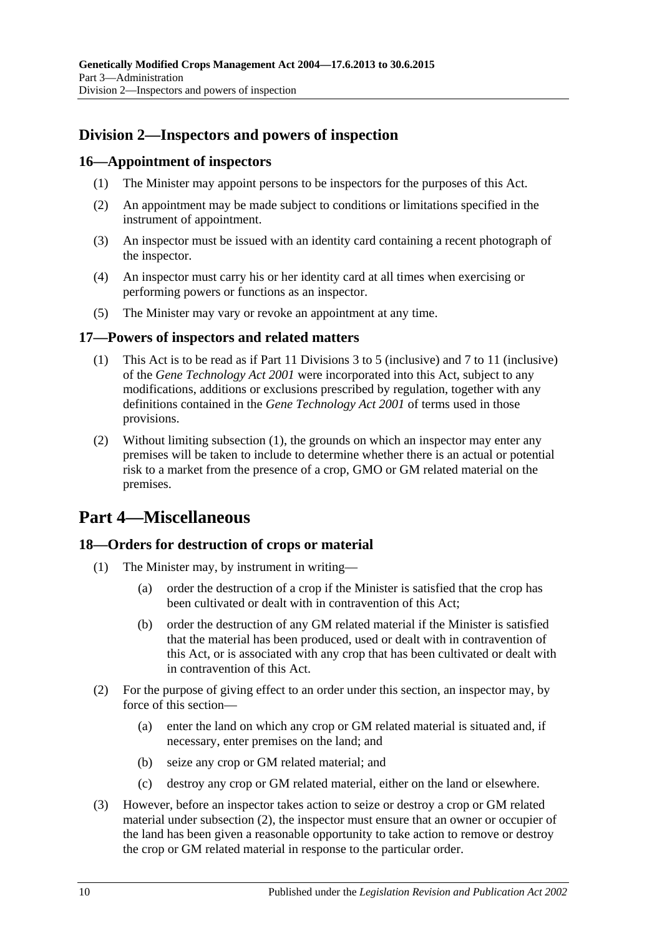### <span id="page-9-0"></span>**Division 2—Inspectors and powers of inspection**

#### <span id="page-9-1"></span>**16—Appointment of inspectors**

- (1) The Minister may appoint persons to be inspectors for the purposes of this Act.
- (2) An appointment may be made subject to conditions or limitations specified in the instrument of appointment.
- (3) An inspector must be issued with an identity card containing a recent photograph of the inspector.
- (4) An inspector must carry his or her identity card at all times when exercising or performing powers or functions as an inspector.
- (5) The Minister may vary or revoke an appointment at any time.

#### <span id="page-9-5"></span><span id="page-9-2"></span>**17—Powers of inspectors and related matters**

- (1) This Act is to be read as if Part 11 Divisions 3 to 5 (inclusive) and 7 to 11 (inclusive) of the *[Gene Technology Act](http://www.legislation.sa.gov.au/index.aspx?action=legref&type=act&legtitle=Gene%20Technology%20Act%202001) 2001* were incorporated into this Act, subject to any modifications, additions or exclusions prescribed by regulation, together with any definitions contained in the *[Gene Technology Act](http://www.legislation.sa.gov.au/index.aspx?action=legref&type=act&legtitle=Gene%20Technology%20Act%202001) 2001* of terms used in those provisions.
- (2) Without limiting [subsection](#page-9-5) (1), the grounds on which an inspector may enter any premises will be taken to include to determine whether there is an actual or potential risk to a market from the presence of a crop, GMO or GM related material on the premises.

# <span id="page-9-3"></span>**Part 4—Miscellaneous**

#### <span id="page-9-4"></span>**18—Orders for destruction of crops or material**

- (1) The Minister may, by instrument in writing—
	- (a) order the destruction of a crop if the Minister is satisfied that the crop has been cultivated or dealt with in contravention of this Act;
	- (b) order the destruction of any GM related material if the Minister is satisfied that the material has been produced, used or dealt with in contravention of this Act, or is associated with any crop that has been cultivated or dealt with in contravention of this Act.
- <span id="page-9-6"></span>(2) For the purpose of giving effect to an order under this section, an inspector may, by force of this section—
	- (a) enter the land on which any crop or GM related material is situated and, if necessary, enter premises on the land; and
	- (b) seize any crop or GM related material; and
	- (c) destroy any crop or GM related material, either on the land or elsewhere.
- (3) However, before an inspector takes action to seize or destroy a crop or GM related material under [subsection](#page-9-6) (2), the inspector must ensure that an owner or occupier of the land has been given a reasonable opportunity to take action to remove or destroy the crop or GM related material in response to the particular order.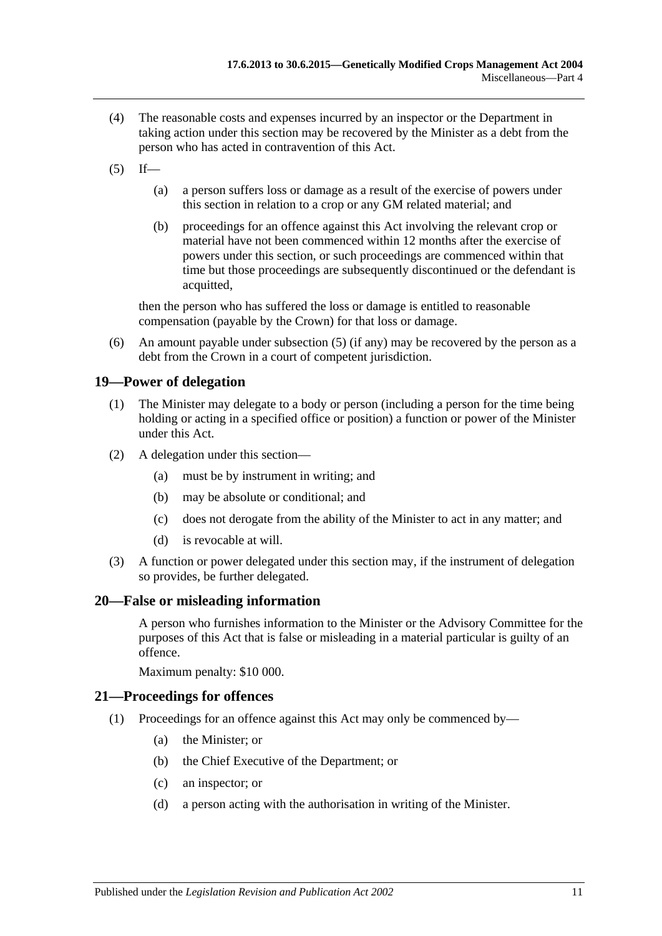- (4) The reasonable costs and expenses incurred by an inspector or the Department in taking action under this section may be recovered by the Minister as a debt from the person who has acted in contravention of this Act.
- <span id="page-10-3"></span> $(5)$  If—
	- (a) a person suffers loss or damage as a result of the exercise of powers under this section in relation to a crop or any GM related material; and
	- (b) proceedings for an offence against this Act involving the relevant crop or material have not been commenced within 12 months after the exercise of powers under this section, or such proceedings are commenced within that time but those proceedings are subsequently discontinued or the defendant is acquitted,

then the person who has suffered the loss or damage is entitled to reasonable compensation (payable by the Crown) for that loss or damage.

(6) An amount payable under [subsection](#page-10-3) (5) (if any) may be recovered by the person as a debt from the Crown in a court of competent jurisdiction.

#### <span id="page-10-0"></span>**19—Power of delegation**

- (1) The Minister may delegate to a body or person (including a person for the time being holding or acting in a specified office or position) a function or power of the Minister under this Act.
- (2) A delegation under this section—
	- (a) must be by instrument in writing; and
	- (b) may be absolute or conditional; and
	- (c) does not derogate from the ability of the Minister to act in any matter; and
	- (d) is revocable at will.
- (3) A function or power delegated under this section may, if the instrument of delegation so provides, be further delegated.

#### <span id="page-10-1"></span>**20—False or misleading information**

A person who furnishes information to the Minister or the Advisory Committee for the purposes of this Act that is false or misleading in a material particular is guilty of an offence.

Maximum penalty: \$10 000.

#### <span id="page-10-2"></span>**21—Proceedings for offences**

- (1) Proceedings for an offence against this Act may only be commenced by—
	- (a) the Minister; or
	- (b) the Chief Executive of the Department; or
	- (c) an inspector; or
	- (d) a person acting with the authorisation in writing of the Minister.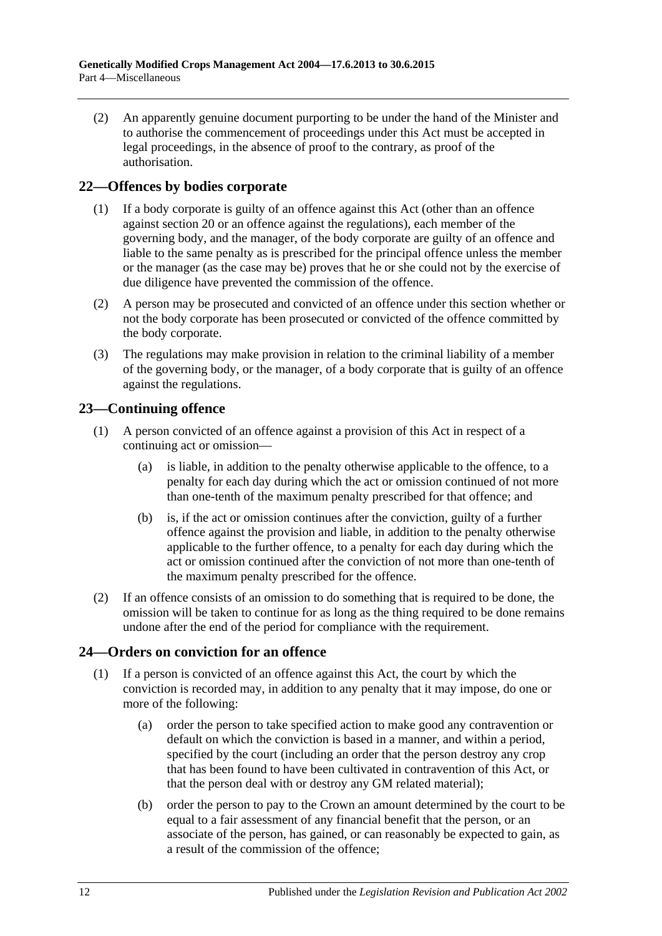(2) An apparently genuine document purporting to be under the hand of the Minister and to authorise the commencement of proceedings under this Act must be accepted in legal proceedings, in the absence of proof to the contrary, as proof of the authorisation.

#### <span id="page-11-0"></span>**22—Offences by bodies corporate**

- (1) If a body corporate is guilty of an offence against this Act (other than an offence against [section](#page-10-1) 20 or an offence against the regulations), each member of the governing body, and the manager, of the body corporate are guilty of an offence and liable to the same penalty as is prescribed for the principal offence unless the member or the manager (as the case may be) proves that he or she could not by the exercise of due diligence have prevented the commission of the offence.
- (2) A person may be prosecuted and convicted of an offence under this section whether or not the body corporate has been prosecuted or convicted of the offence committed by the body corporate.
- (3) The regulations may make provision in relation to the criminal liability of a member of the governing body, or the manager, of a body corporate that is guilty of an offence against the regulations.

#### <span id="page-11-1"></span>**23—Continuing offence**

- (1) A person convicted of an offence against a provision of this Act in respect of a continuing act or omission—
	- (a) is liable, in addition to the penalty otherwise applicable to the offence, to a penalty for each day during which the act or omission continued of not more than one-tenth of the maximum penalty prescribed for that offence; and
	- (b) is, if the act or omission continues after the conviction, guilty of a further offence against the provision and liable, in addition to the penalty otherwise applicable to the further offence, to a penalty for each day during which the act or omission continued after the conviction of not more than one-tenth of the maximum penalty prescribed for the offence.
- (2) If an offence consists of an omission to do something that is required to be done, the omission will be taken to continue for as long as the thing required to be done remains undone after the end of the period for compliance with the requirement.

#### <span id="page-11-2"></span>**24—Orders on conviction for an offence**

- <span id="page-11-3"></span>(1) If a person is convicted of an offence against this Act, the court by which the conviction is recorded may, in addition to any penalty that it may impose, do one or more of the following:
	- (a) order the person to take specified action to make good any contravention or default on which the conviction is based in a manner, and within a period, specified by the court (including an order that the person destroy any crop that has been found to have been cultivated in contravention of this Act, or that the person deal with or destroy any GM related material);
	- (b) order the person to pay to the Crown an amount determined by the court to be equal to a fair assessment of any financial benefit that the person, or an associate of the person, has gained, or can reasonably be expected to gain, as a result of the commission of the offence;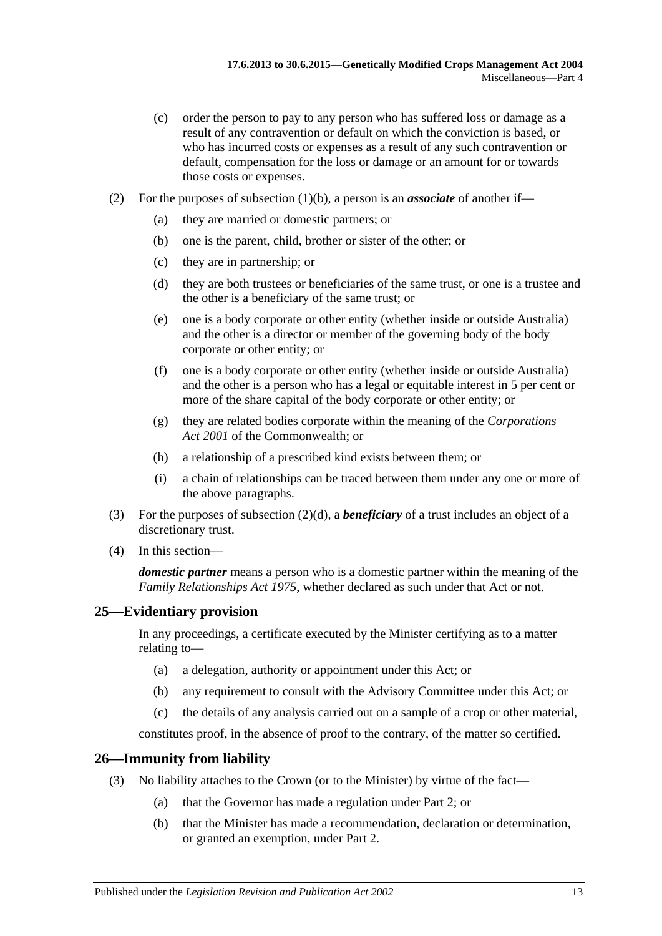- (c) order the person to pay to any person who has suffered loss or damage as a result of any contravention or default on which the conviction is based, or who has incurred costs or expenses as a result of any such contravention or default, compensation for the loss or damage or an amount for or towards those costs or expenses.
- <span id="page-12-2"></span>(2) For the purposes of [subsection](#page-11-3)  $(1)(b)$ , a person is an *associate* of another if—
	- (a) they are married or domestic partners; or
	- (b) one is the parent, child, brother or sister of the other; or
	- (c) they are in partnership; or
	- (d) they are both trustees or beneficiaries of the same trust, or one is a trustee and the other is a beneficiary of the same trust; or
	- (e) one is a body corporate or other entity (whether inside or outside Australia) and the other is a director or member of the governing body of the body corporate or other entity; or
	- (f) one is a body corporate or other entity (whether inside or outside Australia) and the other is a person who has a legal or equitable interest in 5 per cent or more of the share capital of the body corporate or other entity; or
	- (g) they are related bodies corporate within the meaning of the *Corporations Act 2001* of the Commonwealth; or
	- (h) a relationship of a prescribed kind exists between them; or
	- (i) a chain of relationships can be traced between them under any one or more of the above paragraphs.
- (3) For the purposes of [subsection](#page-12-2) (2)(d), a *beneficiary* of a trust includes an object of a discretionary trust.
- (4) In this section—

*domestic partner* means a person who is a domestic partner within the meaning of the *[Family Relationships Act](http://www.legislation.sa.gov.au/index.aspx?action=legref&type=act&legtitle=Family%20Relationships%20Act%201975) 1975*, whether declared as such under that Act or not.

#### <span id="page-12-0"></span>**25—Evidentiary provision**

In any proceedings, a certificate executed by the Minister certifying as to a matter relating to—

- (a) a delegation, authority or appointment under this Act; or
- (b) any requirement to consult with the Advisory Committee under this Act; or
- (c) the details of any analysis carried out on a sample of a crop or other material,

constitutes proof, in the absence of proof to the contrary, of the matter so certified.

#### <span id="page-12-1"></span>**26—Immunity from liability**

- (3) No liability attaches to the Crown (or to the Minister) by virtue of the fact—
	- (a) that the Governor has made a regulation under [Part 2;](#page-3-1) or
	- (b) that the Minister has made a recommendation, declaration or determination, or granted an exemption, under [Part 2.](#page-3-1)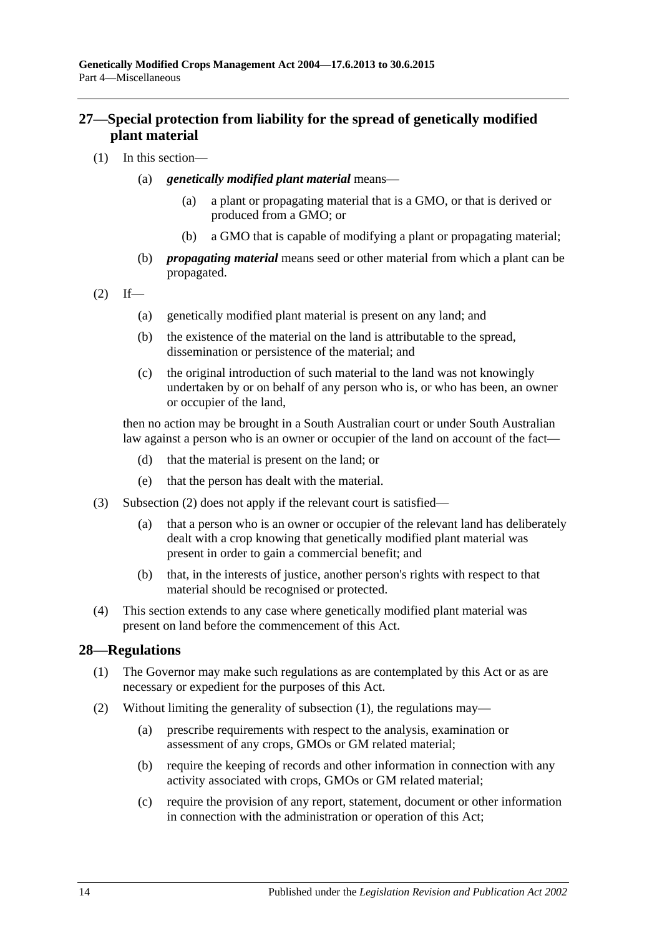#### <span id="page-13-0"></span>**27—Special protection from liability for the spread of genetically modified plant material**

- (1) In this section—
	- (a) *genetically modified plant material* means—
		- (a) a plant or propagating material that is a GMO, or that is derived or produced from a GMO; or
		- (b) a GMO that is capable of modifying a plant or propagating material;
	- (b) *propagating material* means seed or other material from which a plant can be propagated.

<span id="page-13-2"></span>
$$
(2) \quad \text{If} \quad -
$$

- (a) genetically modified plant material is present on any land; and
- (b) the existence of the material on the land is attributable to the spread, dissemination or persistence of the material; and
- (c) the original introduction of such material to the land was not knowingly undertaken by or on behalf of any person who is, or who has been, an owner or occupier of the land,

then no action may be brought in a South Australian court or under South Australian law against a person who is an owner or occupier of the land on account of the fact—

- (d) that the material is present on the land; or
- (e) that the person has dealt with the material.
- (3) [Subsection](#page-13-2) (2) does not apply if the relevant court is satisfied—
	- (a) that a person who is an owner or occupier of the relevant land has deliberately dealt with a crop knowing that genetically modified plant material was present in order to gain a commercial benefit; and
	- (b) that, in the interests of justice, another person's rights with respect to that material should be recognised or protected.
- (4) This section extends to any case where genetically modified plant material was present on land before the commencement of this Act.

#### <span id="page-13-3"></span><span id="page-13-1"></span>**28—Regulations**

- (1) The Governor may make such regulations as are contemplated by this Act or as are necessary or expedient for the purposes of this Act.
- (2) Without limiting the generality of [subsection](#page-13-3) (1), the regulations may—
	- (a) prescribe requirements with respect to the analysis, examination or assessment of any crops, GMOs or GM related material;
	- (b) require the keeping of records and other information in connection with any activity associated with crops, GMOs or GM related material;
	- (c) require the provision of any report, statement, document or other information in connection with the administration or operation of this Act;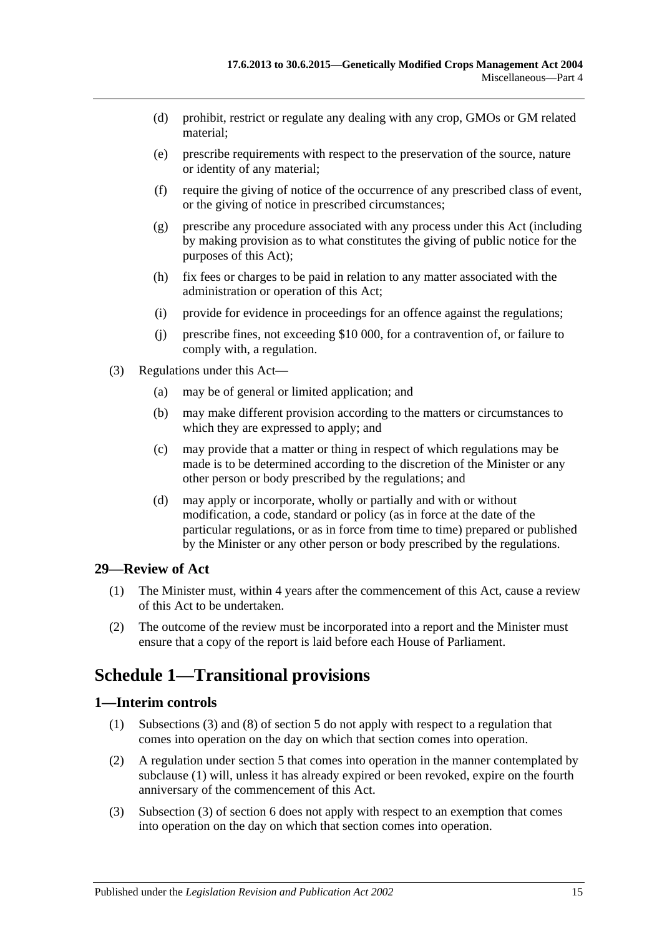- (d) prohibit, restrict or regulate any dealing with any crop, GMOs or GM related material;
- (e) prescribe requirements with respect to the preservation of the source, nature or identity of any material;
- (f) require the giving of notice of the occurrence of any prescribed class of event, or the giving of notice in prescribed circumstances;
- (g) prescribe any procedure associated with any process under this Act (including by making provision as to what constitutes the giving of public notice for the purposes of this Act);
- (h) fix fees or charges to be paid in relation to any matter associated with the administration or operation of this Act;
- (i) provide for evidence in proceedings for an offence against the regulations;
- (j) prescribe fines, not exceeding \$10 000, for a contravention of, or failure to comply with, a regulation.
- (3) Regulations under this Act—
	- (a) may be of general or limited application; and
	- (b) may make different provision according to the matters or circumstances to which they are expressed to apply; and
	- (c) may provide that a matter or thing in respect of which regulations may be made is to be determined according to the discretion of the Minister or any other person or body prescribed by the regulations; and
	- (d) may apply or incorporate, wholly or partially and with or without modification, a code, standard or policy (as in force at the date of the particular regulations, or as in force from time to time) prepared or published by the Minister or any other person or body prescribed by the regulations.

#### <span id="page-14-0"></span>**29—Review of Act**

- (1) The Minister must, within 4 years after the commencement of this Act, cause a review of this Act to be undertaken.
- (2) The outcome of the review must be incorporated into a report and the Minister must ensure that a copy of the report is laid before each House of Parliament.

# <span id="page-14-1"></span>**Schedule 1—Transitional provisions**

#### <span id="page-14-3"></span><span id="page-14-2"></span>**1—Interim controls**

- (1) [Subsections](#page-3-8) (3) and (8) of [section](#page-3-2) 5 do not apply with respect to a regulation that comes into operation on the day on which that section comes into operation.
- (2) A regulation under [section](#page-3-2) 5 that comes into operation in the manner contemplated by [subclause](#page-14-3) (1) will, unless it has already expired or been revoked, expire on the fourth anniversary of the commencement of this Act.
- (3) Subsection (3) of section 6 does not apply with respect to an exemption that comes into operation on the day on which that section comes into operation.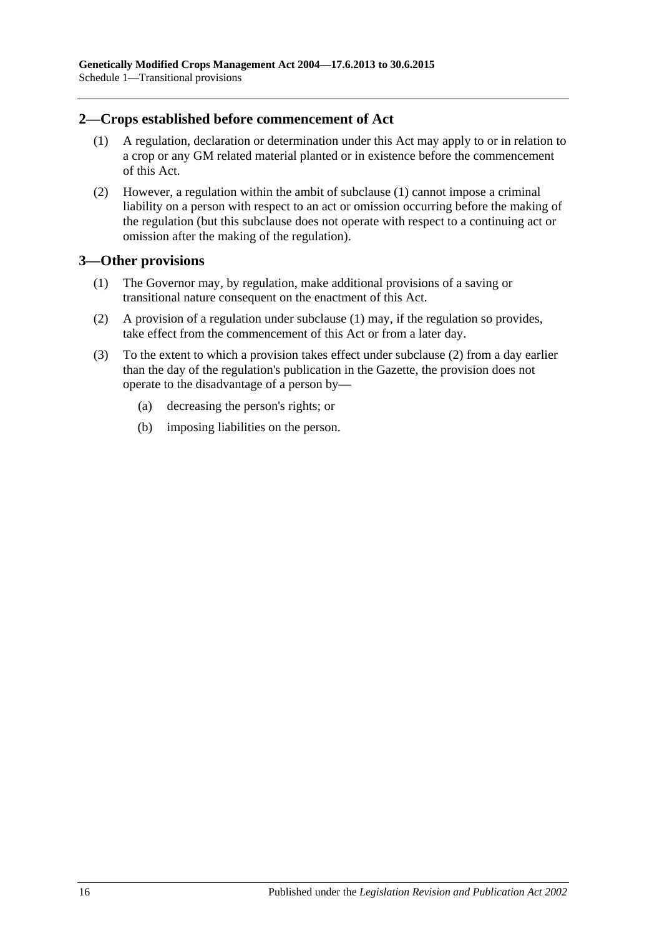#### <span id="page-15-2"></span><span id="page-15-0"></span>**2—Crops established before commencement of Act**

- (1) A regulation, declaration or determination under this Act may apply to or in relation to a crop or any GM related material planted or in existence before the commencement of this Act.
- (2) However, a regulation within the ambit of [subclause](#page-15-2) (1) cannot impose a criminal liability on a person with respect to an act or omission occurring before the making of the regulation (but this subclause does not operate with respect to a continuing act or omission after the making of the regulation).

#### <span id="page-15-3"></span><span id="page-15-1"></span>**3—Other provisions**

- (1) The Governor may, by regulation, make additional provisions of a saving or transitional nature consequent on the enactment of this Act.
- <span id="page-15-4"></span>(2) A provision of a regulation under [subclause](#page-15-3) (1) may, if the regulation so provides, take effect from the commencement of this Act or from a later day.
- (3) To the extent to which a provision takes effect under [subclause](#page-15-4) (2) from a day earlier than the day of the regulation's publication in the Gazette, the provision does not operate to the disadvantage of a person by—
	- (a) decreasing the person's rights; or
	- (b) imposing liabilities on the person.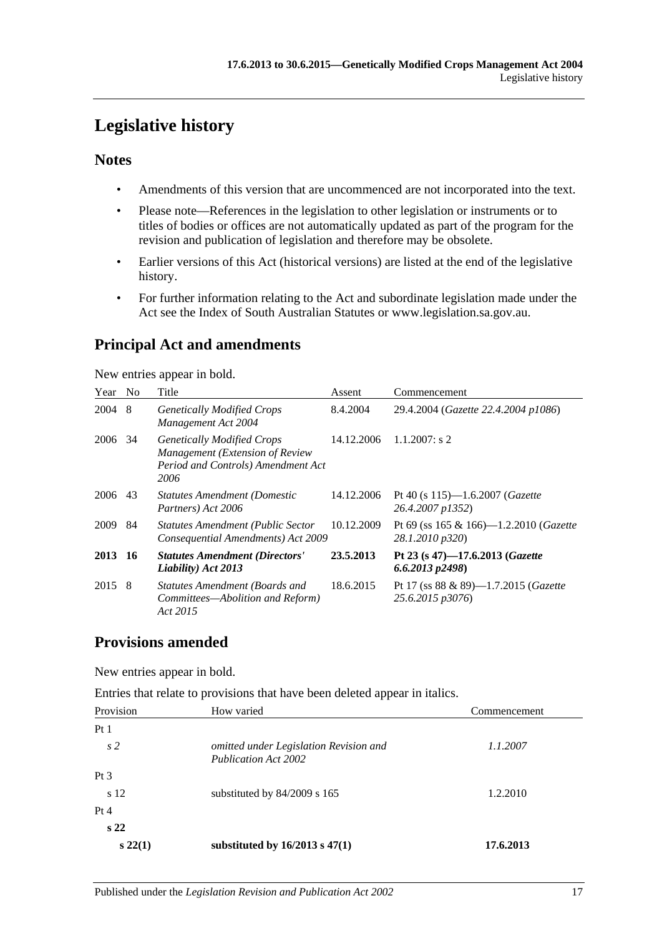# <span id="page-16-0"></span>**Legislative history**

#### **Notes**

- Amendments of this version that are uncommenced are not incorporated into the text.
- Please note—References in the legislation to other legislation or instruments or to titles of bodies or offices are not automatically updated as part of the program for the revision and publication of legislation and therefore may be obsolete.
- Earlier versions of this Act (historical versions) are listed at the end of the legislative history.
- For further information relating to the Act and subordinate legislation made under the Act see the Index of South Australian Statutes or www.legislation.sa.gov.au.

# **Principal Act and amendments**

New entries appear in bold.

| Year | N <sub>0</sub> | Title                                                                                                              | Assent     | Commencement                                                      |
|------|----------------|--------------------------------------------------------------------------------------------------------------------|------------|-------------------------------------------------------------------|
| 2004 | 8              | <b>Genetically Modified Crops</b><br>Management Act 2004                                                           | 8.4.2004   | 29.4.2004 (Gazette 22.4.2004 p1086)                               |
| 2006 | 34             | <b>Genetically Modified Crops</b><br>Management (Extension of Review<br>Period and Controls) Amendment Act<br>2006 | 14.12.2006 | $1.1.2007$ : s 2                                                  |
| 2006 | 43             | <b>Statutes Amendment (Domestic</b><br>Partners) Act 2006                                                          | 14.12.2006 | Pt 40 (s $115$ )—1.6.2007 ( <i>Gazette</i><br>26.4.2007 p1352)    |
| 2009 | 84             | <b>Statutes Amendment (Public Sector</b><br>Consequential Amendments) Act 2009                                     | 10.12.2009 | Pt 69 (ss 165 & 166)—1.2.2010 ( <i>Gazette</i><br>28.1.2010 p320) |
| 2013 | -16            | <b>Statutes Amendment (Directors'</b><br>Liability) Act 2013                                                       | 23.5.2013  | Pt 23 (s 47)-17.6.2013 (Gazette<br>$6.6.2013$ $p2498$ )           |
| 2015 | 8              | Statutes Amendment (Boards and<br>Committees—Abolition and Reform)<br>Act 2015                                     | 18.6.2015  | Pt 17 (ss 88 & 89)-1.7.2015 (Gazette<br>25.6.2015 p3076)          |

#### **Provisions amended**

New entries appear in bold.

Entries that relate to provisions that have been deleted appear in italics.

| Provision       | How varied                                                            | Commencement |
|-----------------|-----------------------------------------------------------------------|--------------|
| Pt1             |                                                                       |              |
| s <sub>2</sub>  | omitted under Legislation Revision and<br><b>Publication Act 2002</b> | 1.1.2007     |
| Pt <sub>3</sub> |                                                                       |              |
| s 12            | substituted by $84/2009$ s 165                                        | 1.2.2010     |
| Pt 4            |                                                                       |              |
| s <sub>22</sub> |                                                                       |              |
| $s\,22(1)$      | substituted by $16/2013$ s $47(1)$                                    | 17.6.2013    |